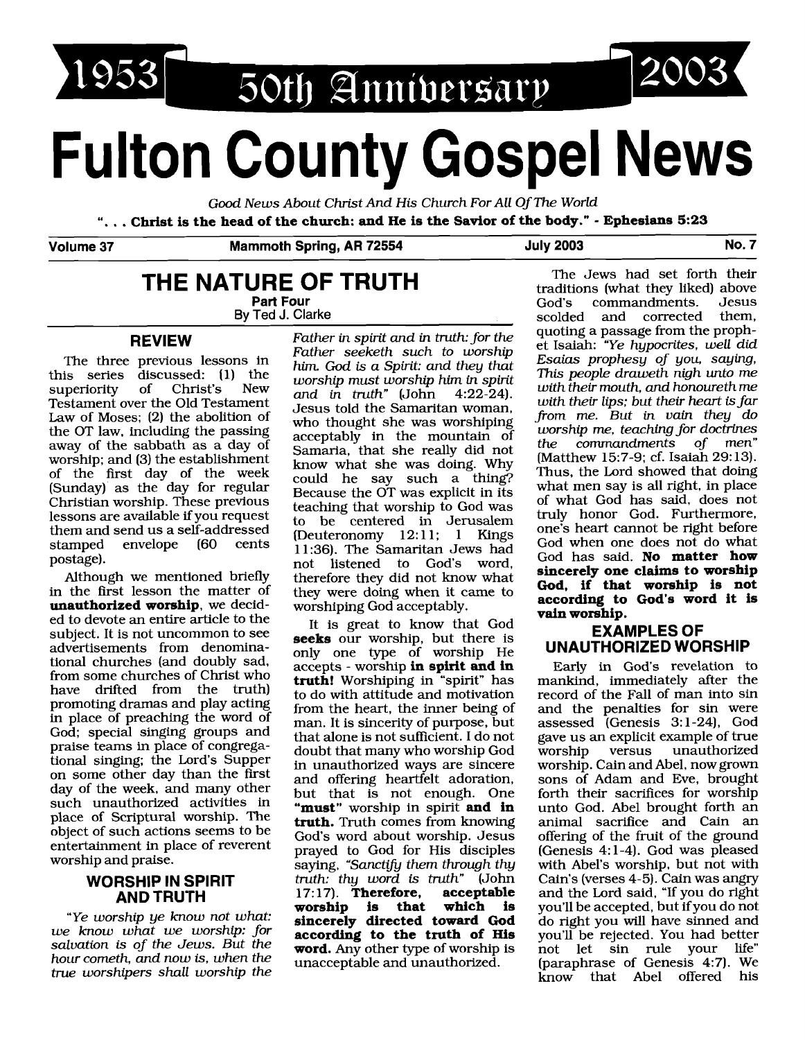1953 50th Anniversary

# **Fulton County Gospel News**

*Good News About Christ And* His *Church For All Of The World* 

". . . **Christ is the head of the church: and He is the Savior of the body."** - **Ephesians 5:23** 

**Volume 37 Mammoth Spring, AR 72554 July 2003 No. 7** 

## **THE NATURE OF TRUTH**

**Part Four Bv Ted J. Clarke** 

#### **REVIEW**

The three previous lessons in this series discussed: (1) the<br>superiority of Christ's New superiority Testament over the Old Testament Law of Moses; (2) the abolition of the OT law, including the passing away of the sabbath as a day of worship; and (3) the establishment of the first day of the week (Sunday) as the day for regular Christian worship. These previous lessons are available if you request them and send us a self-addressed<br>stamped envelope (60 cents envelope (60 postage).

Although we mentioned briefly in the first lesson the matter of **unauthorized worship,** we decided to devote an entire article to the subject. It is not uncommon to see advertisements from denominational churches (and doubly sad, from some churches of Christ who have drifted from the truth) promoting dramas and play acting in place of preaching the word of God; special singing groups and praise teams in place of congregational singing; the Lord's Supper on some other day than the first day of the week, and many other such unauthorized activities in place of Scriptural worship. The object of such actions seems to be entertainment in place of reverent worship and praise.

#### **WORSHIP IN SPIRIT AND TRUTH**

*"Ye worship ye know not what: we know what we worship: for salvation* **is** *of the Jews. But the hour cometh, and now* **is,** *when the true worshipers shall worship the* 

*Father in spirit and in truth: for the Father seeketh such to worship him God* **is** *a Spirit: and they that worship must worship him in spirit and in truth"* (John 4:22-24). Jesus told the Samaritan woman, who thought she was worshiping acceptably in the mountain of Samaria, that she really did not know what she was doing. Why could he say such a thing? Because the OT was explicit in its teaching that worship to God was to be centered in Jerusalem (Deuteronomy 12:11; 1 Kings 11 :36). The Samaritan Jews had not listened to God's word, therefore they did not know what they were doing when it came to worshiping God acceptably.

It is great to know that God **seeks** our worship, but there is only one type of worship He accepts - worship **in spirit and in truth!** Worshiping in "spirit" has to do with attitude and motivation from the heart, the inner being of man. It is sincerity of purpose, but that alone is not sufficient. I do not doubt that many who worship God in unauthorized ways are sincere and offering heartfelt adoration, but that is not enough. One **"must"** worship in spirit **and in truth.** Truth comes from knowing God's word about worship. Jesus prayed to God for His disciples saying, "Sanctify them through thy *truth: thy word* is *truth"* (John 17:17). **Therefore, acceptable**<br>worship is that which is worship is that **sincerely directed toward God according to the truth of His word.** Any other type of worship is unacceptable and unauthorized.

The Jews had set forth their traditions (what they liked) above<br>God's commandments. Jesus commandments. Jesus<br>and corrected them. scolded and corrected quoting a passage from the prophet Isaiah: *"Ye hypocrites, well did Esaius prophesy of you, saying,*  This *people draweth nigh unto me with their mouth, and honoureth me with their lips; but their heart* **is** *far from me. But in vain they do worship me, teaching for doctrines the commandments of men"*  (Matthew 15:7-9; cf. Isaiah 29: 13). Thus, the Lord showed that doing what men say is all right, in place of what God has said, does not truly honor God. Furthermore, one's heart cannot be right before God when one does not do what God has said. **No matter how sincerely one claims to worship God, if that worship is not according to God's word it is vain worship.** 

2003

#### **EXAMPLES OF UNAUTHORIZED WORSHIP**

Early in God's revelation to mankind, immediately after the record of the Fall of man into sin and the penalties for sin were assessed (Genesis 3: 1-24), God gave us an explicit example of true unauthorized worship. Cain and Abel, now grown sons of Adam and Eve, brought forth their sacrifices for worship unto God. Abel brought forth an animal sacrifice and Cain an offering of the fruit of the ground (Genesis 4: 1-4). God was pleased with Abel's worship, but not with Cain's (verses 4-5). Cain was angry and the Lord said. "If you do right you'll be accepted, but if you do not do right you will have sinned and you'll be rejected. You had better not let sin rule your life" (paraphrase of Genesis 4:7). We know that Abel offered his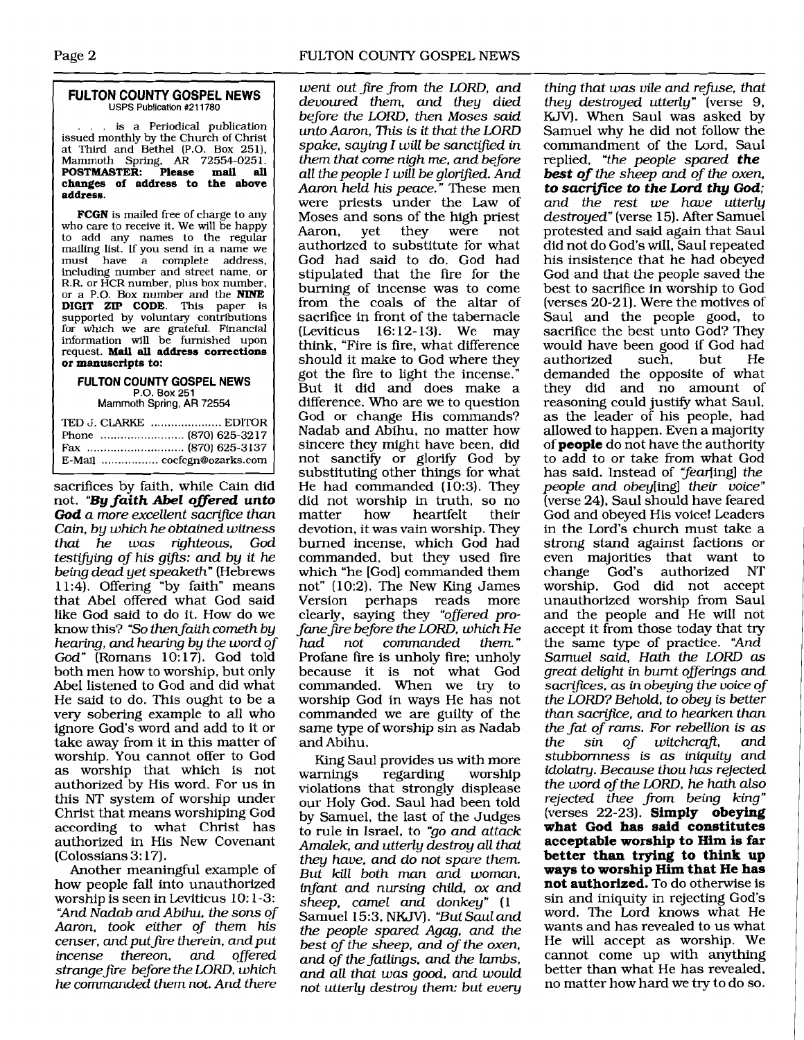#### **FULTON COUNTY GOSPEL NEWS**  USPS Publication **#211780**

.. is a Periodical publication issued monthly by the Church of Christ at Third and Bethel (P.O. Box 251), Mammoth Spring. **AR** 72554-025 1. **POSTMASTER: Please mail all changes of address to the above address.** 

**FCGN** is mailed free of charge to any who care to receive it. We will be happy to add any names to the regular mailing list. If you send in a name we must have a complete address, including number and street name, or R.R. or HCR number, plus box number, or a P.O. Box number and the **NINE DIGIT ZIP CODE. This** paper **is**  supported by voluntary contributions for which we **are** grateful. Financial information will be furnished upon request. Mail **all address corrections or manuscripts to:** 

### **FllLTON COUNTY GOSPEL NEWS**

P.O. Box **251**  Mammoth Spring, **AR** 72554

| TED J. CLARKE  EDITOR      |
|----------------------------|
|                            |
|                            |
| E-Mail  cocfcgn@ozarks.com |

sacrifices by faith, while Cain did not. **"By faith Abel offered unto God** *a more excellent sacrifice than Cain, by which he obtained witness that he was righteous, God testifying of his gifts: and by it he being dead yet speaketh"* (Hebrews 1 1 :4). Offering "by faith" means that Abel offered what God said like God said to do it. How do we know this? *"So then faith corneth by hearing, and hearing by the word of God"* (Romans 10: 17). God told both men how to worship, but only Abel listened to God and did what He said to do. This ought to be a very sobering example to all who ignore God's word and add to it or take away from it in this matter of worship. You cannot offer to God as worship that which is not authorized by His word. For us in this NT system of worship under Christ that means worshiping God according to what Christ has authorized in His New Covenant (Colossians 3: 17).

Another meaningful example of how people fall into unauthorized worship is seen in Leviticus 10: 1-3: *"And Nadab and Abihu, the sons of Aaron, took either of them his censer, and put fire therein, and put incense thereon, and offered strangefie before the LORD, which he commanded them not. And there* 

*went out fre from the LORD, and devoured them, and they died before the LORD, then Moses said unto Aaron, This is it that the LORD spake, saying I will be sanctified in them that come nigh me, and before all the people I will be glorified. And Aaron held his peace."* These men were priests under the Law of Moses and sons of the high priest<br>Aaron, yet they were not Aaron, authorized to substitute for what God had said to do. God had stipulated that the fire for the burning of incense was to come from the coals of the altar of sacrifice in front of the tabernacle  $(Leviticus 16:12-13)$ . We may think, "Fire is fire, what difference should it make to God where they got the fire to light the incense." But it did and does make a difference. Who are we to question God or change His commands? Nadab and Abihu, no matter how sincere they might have been, did not sanctify or glorify God by substituting other things for what He had commanded (10:3). They did not worship in truth, so no<br>matter how heartfelt their heartfelt devotion, it was vain worship. They burned incense, which God had commanded, but they used fire which "he [God] commanded them not" (10:2). The New King James Version perhaps reads more clearly, saying they *"oflered profane fue before the LDRD, which He had not commanded them."*  Profane fire is unholy fire: unholy because it is not what God commanded. When we try to worship God in ways He has not commanded we are guilty of the same type of worship sin as Nadab and Abihu.

King Saul provides us with more<br>warnings regarding worship regarding violations that strongly displease our Holy God. Saul had been told by Samuel, the last of the Judges to rule in Israel, to *"go and attack Amalek, and utterly destroy all that they have, and do not spare them. But kill both man and woman, infant and nursing child, ox and sheep, camel and donkey" (1*  Samuel 15:3, NKJV). *"But Saul and the people spared Agag, and the best of the sheep, and of the oxen, and of the fatlings, and the lambs, and all that was good, and would not utterly destroy them: but every* 

*thing that was vile and refuse, that they destroyed utterly"* [verse *9, KJV).* When Saul was asked by Samuel why he did not follow the commandment of the Lord, Saul replied, *"the people spared* **the best of** *the sheep and of the oxen,*  **to sacrifice** *to* **the Lord thy God;**  *and the rest we hwe utterly destroyed"* (verse 15). After Samuel protested and said again that Saul did not do God's will, Saul repeated his insistence that he had obeyed God and that the people saved the best to sacrifice in worship to God (verses 20-2 1). Were the motives of Saul and the people good, to sacrifice the best unto God? They would have been good if God had<br>authorized such, but He authorized demanded the opposite of what they did and no amount of reasoning could justify what Saul, as the leader of his people, had allowed to happen. Even a majority of **people** do not have the authority to add to or take from what God has said. Instead of "fear[ing] the *people and* obey[ing] *their voice"*  (verse 24), Saul should have feared God and obeyed His voice! Leaders in the Lord's church must take a strong stand against factions or even majorities that want to<br>change God's authorized NT change God's authorized worship. God did not accept unauthorized worship from Saul and the people and He will not accept it from those today that try the same type of practice. *"And Samuel said, Hath the LORD as great delight in burnt oflerings and*   $s$ *acrifices, as in obeying the voice of the LORD? Behold, to obey is better than sacrifice, and to hearken than the fat of rams. For rebellion is as the sin of witchcraft, and stubbornness* **is** *as iniquity and idolatry. Because thou* **has** *rejected the word of the LDRD, he hath also rejected thee from being king"*  (verses 22-23). **Simply obeying what God has said constitutes acceptable worship to Him is far better than trying to think up ways to worship Him that He has not authorized.** To do otherwise is sin and iniquity in rejecting God's word. The Lord knows what He wants and has revealed to us what He will accept as worship. We cannot come up with anything better than what He has revealed, no matter how hard we try to do so.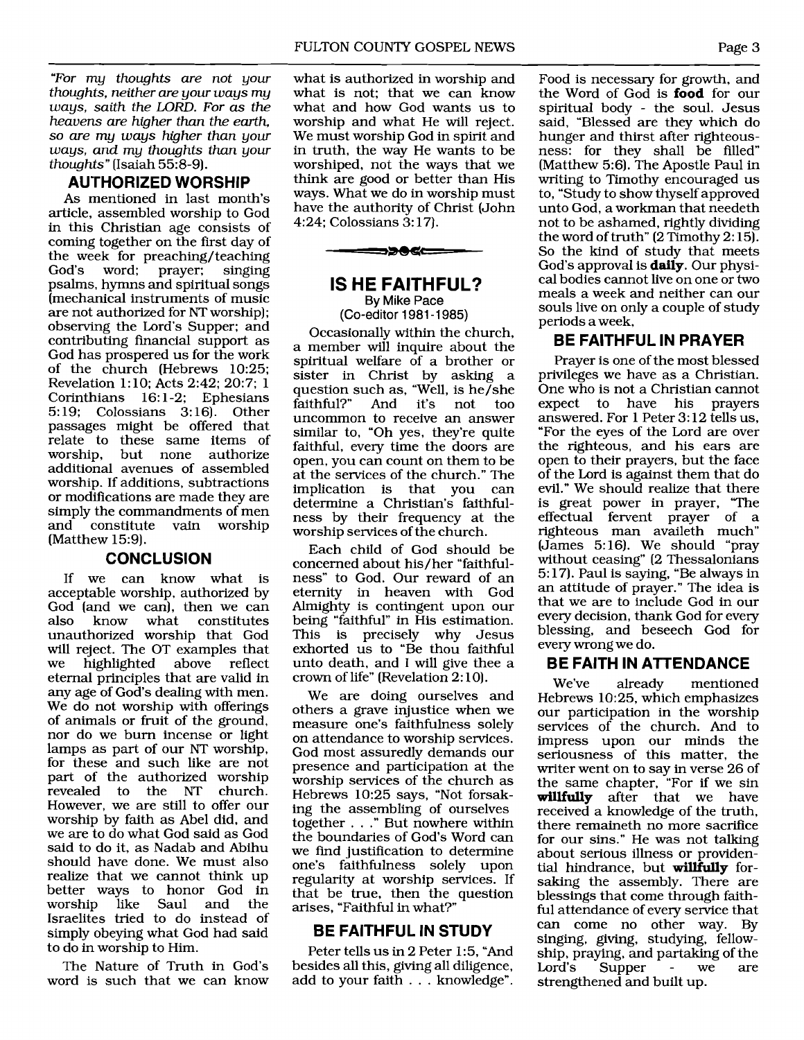*"For my thoughts are not your thoughts, neither are your ways my ways, saith the LORD. For as the heavens are higher than the earth, so are my ways higher than your ways, and my thoughts than your thoughts"* (Isaiah 55:8-9).

#### **AU'THORIZED WORSHIP**

As mentioned in last month's article, assembled worship to God in this Christian age consists of coming together on the first day of the week for preaching/teaching<br>God's word: prayer: singing prayer; psalms, hymns and spiritual songs (mechanical instruments of music are not authorized for NT worship); observing the Lord's Supper; and contributing financial support as God has prospered us for the work of the church (Hebrews 10:25; Revelation 1: 10; Acts 2:42; 20:7; 1 Corinthians 16:1-2: Ephesians 5: 19; Colossians 3: 16). Other passages might be offered that relate to these same items of worship, but none authorize additional avenues of assembled worship. If additions, subtractions or modifications are made they are simply the commandments of men and constitute vain worship (Matthew 15:9).

#### **CONCLUSION**

If we can know what is acceptable worship, authorized by God (and we can), then we can<br>also know what constitutes constitutes unauthorized worship that God will reject. The OT examples that we highlighted above reflect eternal principles that are valid in any age of God's dealing with men. We do not worship with offerings of animals or fruit of the ground, nor do we bum incense or light lamps as part of our NT worship, for these and such like are not part of the authorized worship<br>revealed to the NT church. to the NT However, we are still to offer our worship by faith as Abel did, and we are to do what God said as God said to do it, as Nadab and Abihu should have done. We must also realize that we cannot think up better ways to honor God in worship like Saul and the Israelites tried to do instead of simply obeying what God had said to do in worship to Him.

The Nature of Truth in God's word is such that we can know

what is authorized in worship and what is not; that we can know what and how God wants us to worship and what He will reject. We must worship God in spirit and in truth, the way He wants to be worshiped, not the ways that we think are good or better than His ways. What we do in worship must have the authority of Christ (John 4:24; Colossians 3: 17).



#### **IS HE FAITHFUL? By** Mike Pace

(Co-editor 1981 -1 985)

Occasionally within the church, a member will inquire about the spiritual welfare of a brother or sister in Christ by asking a question such as, "Well, is he/she faithful?" And it's not too uncommon to receive an answer similar to, "Oh yes, they're quite faithful, every time the doors are open, you can count on them to be at the services of the church." The implication is that you can determine a Christian's faithfulness by their frequency at the worship services of the church.

Each child of God should be concerned about his/her "faithfulness" to God. Our reward of an eternity in heaven with God Almighty is contingent upon our being "faithful" in His estimation. This is precisely why Jesus exhorted us to "Be thou faithful unto death, and I will give thee a crown of life" (Revelation 2: 10).

We are doing ourselves and others a grave injustice when we measure one's faithfulness solely on attendance to worship services. God most assuredly demands our presence and participation at the worship services of the church as Hebrews 10:25 says, "Not forsaking the assembling of ourselves together . . ." But nowhere within the boundaries of God's Word can we find justification to determine one's faithfulness solely upon regularity at worship services. If that be true, then the question arises, "Faithful in what?"

#### **BE FAITHFUL IN STUDY**

Peter tells us in 2 Peter 1:5, "And besides **all** this, giving all diligence, add to your faith . . . knowledge".

Page 3<br>Food is necessary for growth, and Food is necessary for growth, and the Word of God is **food** for our spiritual body - the soul. Jesus said, "Blessed are they which do hunger and thirst after righteousness: for they shall be filled" (Matthew 5:6). The Apostle Paul in writing to Timothy encouraged us to, "Study to show thyself approved unto God, a workman that needeth not to be ashamed, rightly dividing the word of truth" (2 Timothy 2: 15). So the kind of study that meets God's approval is **daily.** Our physical bodies cannot live on one or two meals a week and neither can our souls live on only a couple of study periods a week,

#### **BE FAITHFUL IN PRAYER**

Prayer is one of the most blessed privileges we have as a Christian. One who is not a Christian cannot expect to have his prayers answered. For 1 Peter **3:** 12 tells us, "For the eyes of the Lord are over the righteous, and his ears are open to their prayers, but the face of the Lord is against them that do evil." We should realize that there is great power in prayer, 'The effectual fervent prayer of a righteous man availeth much" (James 5:16). We should "pray without ceasing" (2 Thessalonians 5: 17). Paul is saying, "Be always in an attitude of prayer." The idea is that we are to include God in our every decision, thank God for every blessing, and beseech God for every wrong we do.

#### **BE FAITH IN ATTENDANCE**

We've already mentioned Hebrews 10:25, which emphasizes our participation in the worship services of the church. And to impress upon our minds the seriousness of this matter, the writer went on to say in verse 26 of the same chapter, "For if we sin **willfully** after that we have received a knowledge of the truth, there remaineth no more sacrifice for our sins." He was not talking about serious illness or providential hindrance, but **willfully** forsaking the assembly. There are blessings that come through faithful attendance of every service that can come no other way. By singing, giving, studying, fellowship, praying, and partaking of the Lord's Supper - we are strengthened and built up.